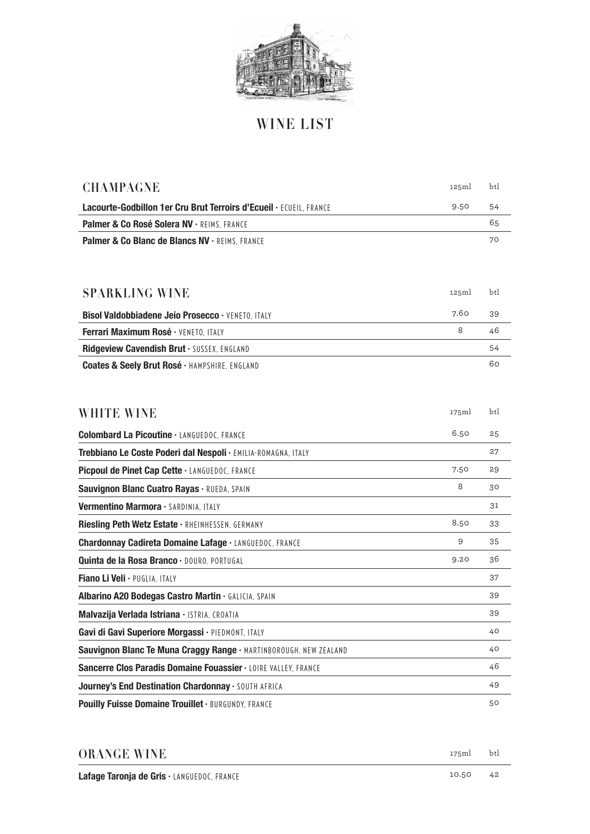

## **WINE LIST**

| <b>CHAMPAGNE</b>                                                   | 125ml | btl |
|--------------------------------------------------------------------|-------|-----|
| Lacourte-Godbillon 1er Cru Brut Terroirs d'Ecueil · ECUEIL, FRANCE | 9.50  | 54  |
| Palmer & Co Rosé Solera NV · REIMS, FRANCE                         |       | 65  |
| Palmer & Co Blanc de Blancs NV · REIMS, FRANCE                     |       | 70  |
|                                                                    |       |     |
|                                                                    |       |     |
| <b>SPARKLING WINE</b>                                              | 125ml | btl |
| Bisol Valdobbiadene Jeio Prosecco · VENETO, ITALY                  | 7.60  | 39  |
| Ferrari Maximum Rosé · VENETO, ITALY                               | 8     | 46  |
| Ridgeview Cavendish Brut · SUSSEX, ENGLAND                         |       | 54  |
| Coates & Seely Brut Rosé · HAMPSHIRE, ENGLAND                      |       | 60  |
|                                                                    |       |     |
|                                                                    |       |     |
| <b>WHITE WINE</b>                                                  | 175ml | btl |
| <b>Colombard La Picoutine . LANGUEDOC, FRANCE</b>                  | 6.50  | 25  |
| Trebbiano Le Coste Poderi dal Nespoli · EMILIA-ROMAGNA, ITALY      |       | 27  |
| Picpoul de Pinet Cap Cette · LANGUEDOC, FRANCE                     | 7.50  | 29  |
| Sauvignon Blanc Cuatro Rayas · RUEDA, SPAIN                        | 8     | 30  |
| Vermentino Marmora · SARDINIA, ITALY                               |       | 31  |
| Riesling Peth Wetz Estate · RHEINHESSEN, GERMANY                   | 8.50  | 33  |
| <b>Chardonnay Cadireta Domaine Lafage · LANGUEDOC, FRANCE</b>      | 9     | 35  |
| Quinta de la Rosa Branco · DOURO, PORTUGAL                         | 9.20  | 36  |
| Fiano Li Veli · PUGLIA, ITALY                                      |       | 37  |
| Albarino A20 Bodegas Castro Martin . GALICIA, SPAIN                |       | 39  |
| Malvazija Verlada Istriana · ISTRIA, CROATIA                       |       | 39  |
| Gavi di Gavi Superiore Morgassi · PIEDMONT, ITALY                  |       | 40  |
| Sauvignon Blanc Te Muna Craggy Range · MARTINBOROUGH, NEW ZEALAND  |       | 40  |
| Sancerre Clos Paradis Domaine Fouassier · LOIRE VALLEY, FRANCE     |       | 46  |
| Journey's End Destination Chardonnay . SOUTH AFRICA                |       | 49  |
| Pouilly Fuisse Domaine Trouillet · BURGUNDY, FRANCE                |       | 50  |

| <b>ORANGE WINE</b>                         | 175m  | btl |
|--------------------------------------------|-------|-----|
| Lafage Taronja de Gris · LANGUEDOC, FRANCE | 10.50 | 42  |